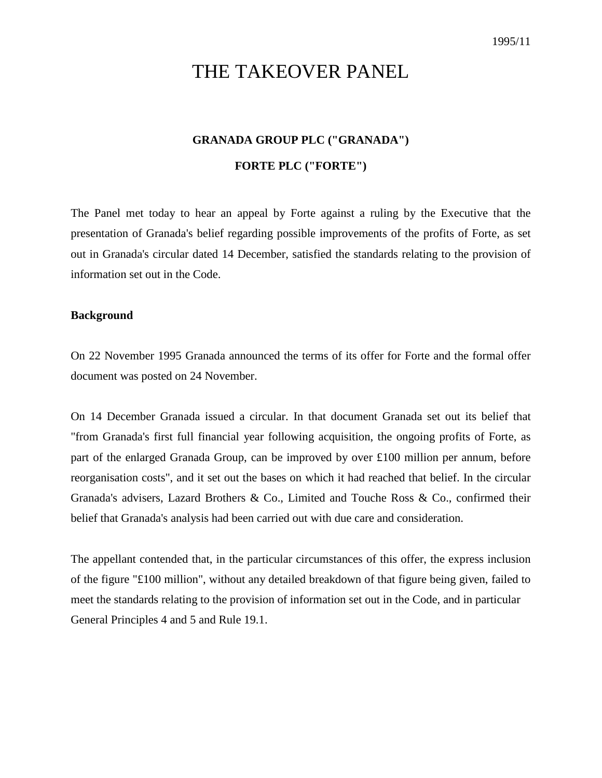# THE TAKEOVER PANEL

# **GRANADA GROUP PLC ("GRANADA") FORTE PLC ("FORTE")**

The Panel met today to hear an appeal by Forte against a ruling by the Executive that the presentation of Granada's belief regarding possible improvements of the profits of Forte, as set out in Granada's circular dated 14 December, satisfied the standards relating to the provision of information set out in the Code.

## **Background**

On 22 November 1995 Granada announced the terms of its offer for Forte and the formal offer document was posted on 24 November.

On 14 December Granada issued a circular. In that document Granada set out its belief that "from Granada's first full financial year following acquisition, the ongoing profits of Forte, as part of the enlarged Granada Group, can be improved by over £100 million per annum, before reorganisation costs", and it set out the bases on which it had reached that belief. In the circular Granada's advisers, Lazard Brothers & Co., Limited and Touche Ross & Co., confirmed their belief that Granada's analysis had been carried out with due care and consideration.

The appellant contended that, in the particular circumstances of this offer, the express inclusion of the figure "£100 million", without any detailed breakdown of that figure being given, failed to meet the standards relating to the provision of information set out in the Code, and in particular General Principles 4 and 5 and Rule 19.1.